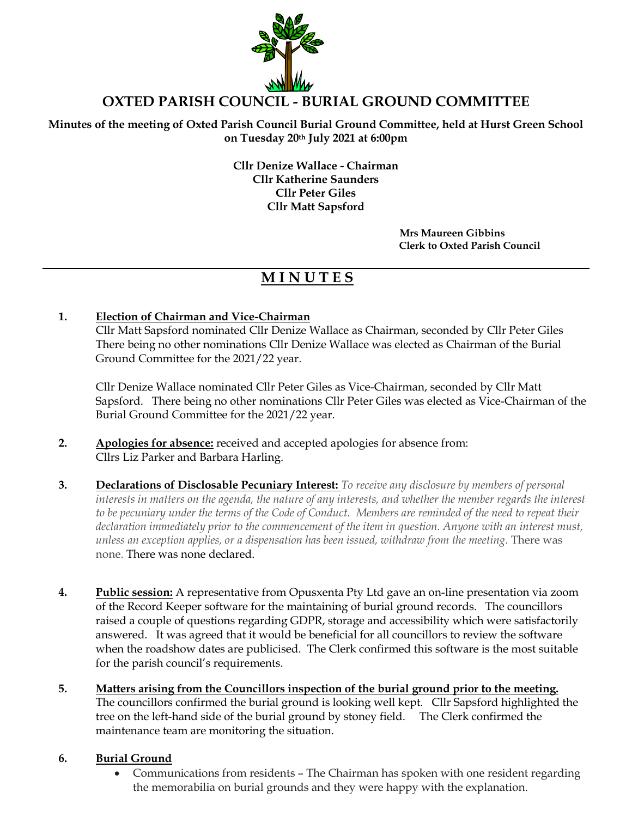

# **OXTED PARISH COUNCIL - BURIAL GROUND COMMITTEE**

**Minutes of the meeting of Oxted Parish Council Burial Ground Committee, held at Hurst Green School on Tuesday 20th July 2021 at 6:00pm**

> **Cllr Denize Wallace - Chairman Cllr Katherine Saunders Cllr Peter Giles Cllr Matt Sapsford**

> > **Mrs Maureen Gibbins Clerk to Oxted Parish Council**

# **M I N U T E S**

### **1. Election of Chairman and Vice-Chairman**

Cllr Matt Sapsford nominated Cllr Denize Wallace as Chairman, seconded by Cllr Peter Giles There being no other nominations Cllr Denize Wallace was elected as Chairman of the Burial Ground Committee for the 2021/22 year.

Cllr Denize Wallace nominated Cllr Peter Giles as Vice-Chairman, seconded by Cllr Matt Sapsford. There being no other nominations Cllr Peter Giles was elected as Vice-Chairman of the Burial Ground Committee for the 2021/22 year.

- **2. Apologies for absence:** received and accepted apologies for absence from: Cllrs Liz Parker and Barbara Harling.
- **3. Declarations of Disclosable Pecuniary Interest:** *To receive any disclosure by members of personal interests in matters on the agenda, the nature of any interests, and whether the member regards the interest to be pecuniary under the terms of the Code of Conduct. Members are reminded of the need to repeat their declaration immediately prior to the commencement of the item in question. Anyone with an interest must, unless an exception applies, or a dispensation has been issued, withdraw from the meeting.* There was none. There was none declared.
- **4. Public session:** A representative from Opusxenta Pty Ltd gave an on-line presentation via zoom of the Record Keeper software for the maintaining of burial ground records. The councillors raised a couple of questions regarding GDPR, storage and accessibility which were satisfactorily answered. It was agreed that it would be beneficial for all councillors to review the software when the roadshow dates are publicised. The Clerk confirmed this software is the most suitable for the parish council's requirements.
- **5. Matters arising from the Councillors inspection of the burial ground prior to the meeting.** The councillors confirmed the burial ground is looking well kept. Cllr Sapsford highlighted the tree on the left-hand side of the burial ground by stoney field. The Clerk confirmed the maintenance team are monitoring the situation.

#### **6. Burial Ground**

• Communications from residents – The Chairman has spoken with one resident regarding the memorabilia on burial grounds and they were happy with the explanation.